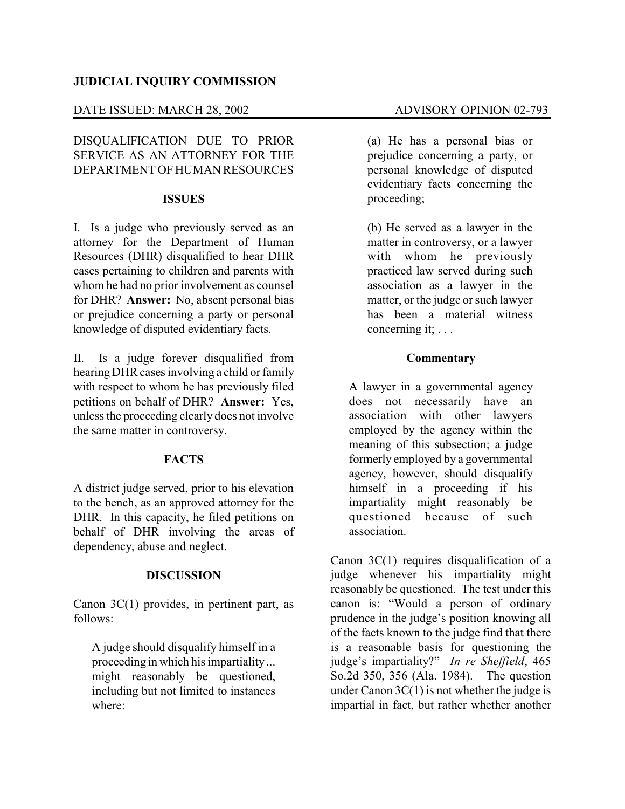# **JUDICIAL INQUIRY COMMISSION**

### DATE ISSUED: MARCH 28, 2002 ADVISORY OPINION 02-793

DISQUALIFICATION DUE TO PRIOR SERVICE AS AN ATTORNEY FOR THE DEPARTMENT OF HUMAN RESOURCES

#### **ISSUES**

I. Is a judge who previously served as an attorney for the Department of Human Resources (DHR) disqualified to hear DHR cases pertaining to children and parents with whom he had no prior involvement as counsel for DHR? **Answer:** No, absent personal bias or prejudice concerning a party or personal knowledge of disputed evidentiary facts.

II. Is a judge forever disqualified from hearing DHR cases involving a child or family with respect to whom he has previously filed petitions on behalf of DHR? **Answer:** Yes, unless the proceeding clearly does not involve the same matter in controversy.

#### **FACTS**

A district judge served, prior to his elevation to the bench, as an approved attorney for the DHR. In this capacity, he filed petitions on behalf of DHR involving the areas of dependency, abuse and neglect.

#### **DISCUSSION**

Canon 3C(1) provides, in pertinent part, as follows:

A judge should disqualify himself in a proceeding in which his impartiality ... might reasonably be questioned, including but not limited to instances where:

(a) He has a personal bias or prejudice concerning a party, or personal knowledge of disputed evidentiary facts concerning the proceeding;

(b) He served as a lawyer in the matter in controversy, or a lawyer with whom he previously practiced law served during such association as a lawyer in the matter, or the judge or such lawyer has been a material witness concerning it; . . .

### **Commentary**

A lawyer in a governmental agency does not necessarily have an association with other lawyers employed by the agency within the meaning of this subsection; a judge formerly employed by a governmental agency, however, should disqualify himself in a proceeding if his impartiality might reasonably be questioned because of such association.

Canon 3C(1) requires disqualification of a judge whenever his impartiality might reasonably be questioned. The test under this canon is: "Would a person of ordinary prudence in the judge's position knowing all of the facts known to the judge find that there is a reasonable basis for questioning the judge's impartiality?" *In re Sheffield*, 465 So.2d 350, 356 (Ala. 1984). The question under Canon  $3C(1)$  is not whether the judge is impartial in fact, but rather whether another